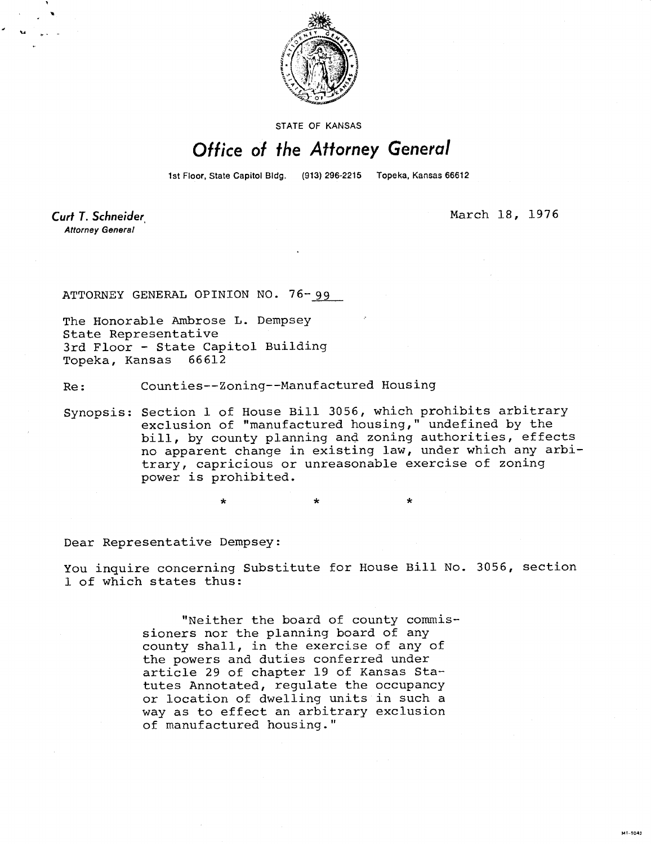

STATE OF KANSAS

## Office of the Attorney General

1st Floor, State Capitol Bldg. (913) 296-2215 Topeka, Kansas 66612

Curt T. Schneider **Attorney General** 

March 18, 1976

ATTORNEY GENERAL OPINION NO. 76-99

The Honorable Ambrose L. Dempsey State Representative 3rd Floor - State Capitol Building Topeka, Kansas 66612

Re: Counties--Zoning--Manufactured Housing

Synopsis: Section 1 of House Bill 3056, which prohibits arbitrary exclusion of "manufactured housing," undefined by the bill, by county planning and zoning authorities, effects no apparent change in existing law, under which any arbitrary, capricious or unreasonable exercise of zoning power is prohibited.

\*

Dear Representative Dempsey:

You inquire concerning Substitute for House Bill No. 3056, section 1 of which states thus:

> "Neither the board of county commissioners nor the planning board of any county shall, in the exercise of any of the powers and duties conferred under article 29 of chapter 19 of Kansas Statutes Annotated, regulate the occupancy or location of dwelling units in such a way as to effect an arbitrary exclusion of manufactured housing."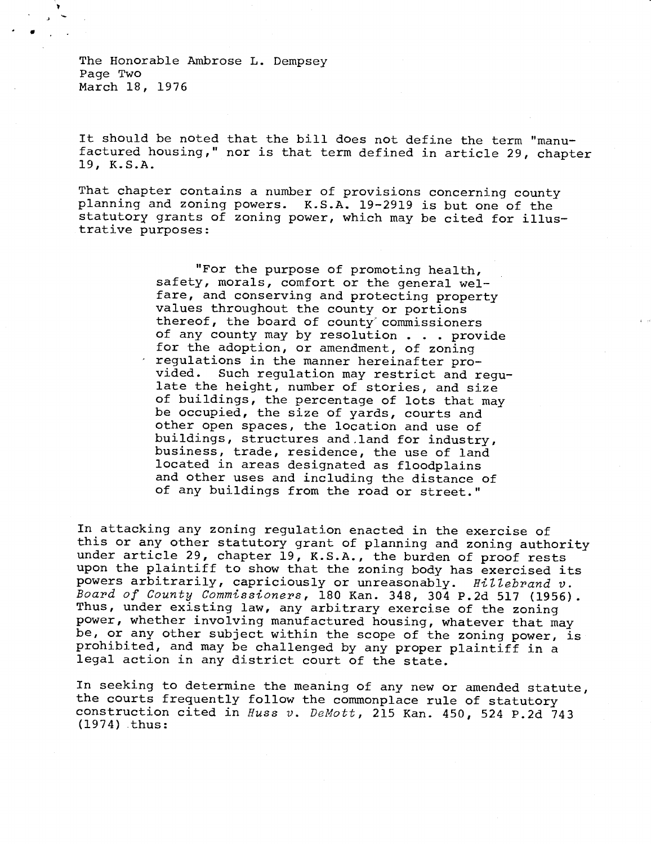The Honorable Ambrose L. Dempsey Page Two March 18, 1976

It should be noted that the bill does not define the term "manufactured housing," nor is that term defined in article 29, chapter 19, K.S.A.

That chapter contains a number of provisions concerning county planning and zoning powers. K.S.A. 19-2919 is but one of the statutory grants of zoning power, which may be cited for illustrative purposes:

> "For the purpose of promoting health, safety, morals, comfort or the general welfare, and conserving and protecting property values throughout the county or portions thereof, the board of county commissioners of any county may by resolution . . . provide for the adoption, or amendment, of zoning regulations in the manner hereinafter provided. Such regulation may restrict and regulate the height, number of stories, and size of buildings, the percentage of lots that may be occupied, the size of yards, courts and other open spaces, the location and use of buildings, structures and land for industry, business, trade, residence, the use of land located in areas designated as floodplains and other uses and including the distance of of any buildings from the road or street."

In attacking any zoning regulation enacted in the exercise of this or any other statutory grant of planning and zoning authority under article 29, chapter 19, K.S.A., the burden of proof rests upon the plaintiff to show that the zoning body has exercised its powers arbitrarily, capriciously or unreasonably. Hillebrand v. Board of County Commissioners, 180 Kan. 348, 304 P.2d 517 (1956). Thus, under existing law, any arbitrary exercise of the zoning power, whether involving manufactured housing, whatever that may be, or any other subject within the scope of the zoning power, is prohibited, and may be challenged by any proper plaintiff in a legal action in any district court of the state.

In seeking to determine the meaning of any new or amended statute, the courts frequently follow the commonplace rule of statutory construction cited in Huss v. DeMott, 215 Kan. 450, 524 P.2d 743 (1974) thus: